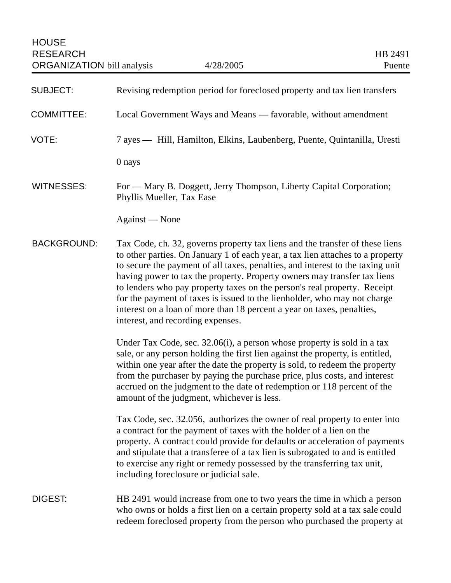| <b>SUBJECT:</b>    | Revising redemption period for foreclosed property and tax lien transfers                                                                                                                                                                                                                                                                                                                                                                                                                                                                                                                           |
|--------------------|-----------------------------------------------------------------------------------------------------------------------------------------------------------------------------------------------------------------------------------------------------------------------------------------------------------------------------------------------------------------------------------------------------------------------------------------------------------------------------------------------------------------------------------------------------------------------------------------------------|
| <b>COMMITTEE:</b>  | Local Government Ways and Means - favorable, without amendment                                                                                                                                                                                                                                                                                                                                                                                                                                                                                                                                      |
| VOTE:              | 7 ayes — Hill, Hamilton, Elkins, Laubenberg, Puente, Quintanilla, Uresti                                                                                                                                                                                                                                                                                                                                                                                                                                                                                                                            |
|                    | 0 nays                                                                                                                                                                                                                                                                                                                                                                                                                                                                                                                                                                                              |
| <b>WITNESSES:</b>  | For — Mary B. Doggett, Jerry Thompson, Liberty Capital Corporation;<br>Phyllis Mueller, Tax Ease                                                                                                                                                                                                                                                                                                                                                                                                                                                                                                    |
|                    | Against - None                                                                                                                                                                                                                                                                                                                                                                                                                                                                                                                                                                                      |
| <b>BACKGROUND:</b> | Tax Code, ch. 32, governs property tax liens and the transfer of these liens<br>to other parties. On January 1 of each year, a tax lien attaches to a property<br>to secure the payment of all taxes, penalties, and interest to the taxing unit<br>having power to tax the property. Property owners may transfer tax liens<br>to lenders who pay property taxes on the person's real property. Receipt<br>for the payment of taxes is issued to the lienholder, who may not charge<br>interest on a loan of more than 18 percent a year on taxes, penalties,<br>interest, and recording expenses. |
|                    | Under Tax Code, sec. 32.06(i), a person whose property is sold in a tax<br>sale, or any person holding the first lien against the property, is entitled,<br>within one year after the date the property is sold, to redeem the property<br>from the purchaser by paying the purchase price, plus costs, and interest<br>accrued on the judgment to the date of redemption or 118 percent of the<br>amount of the judgment, whichever is less.                                                                                                                                                       |
|                    | Tax Code, sec. 32.056, authorizes the owner of real property to enter into<br>a contract for the payment of taxes with the holder of a lien on the<br>property. A contract could provide for defaults or acceleration of payments<br>and stipulate that a transferee of a tax lien is subrogated to and is entitled<br>to exercise any right or remedy possessed by the transferring tax unit,<br>including foreclosure or judicial sale.                                                                                                                                                           |
| <b>DIGEST:</b>     | HB 2491 would increase from one to two years the time in which a person<br>who owns or holds a first lien on a certain property sold at a tax sale could<br>redeem foreclosed property from the person who purchased the property at                                                                                                                                                                                                                                                                                                                                                                |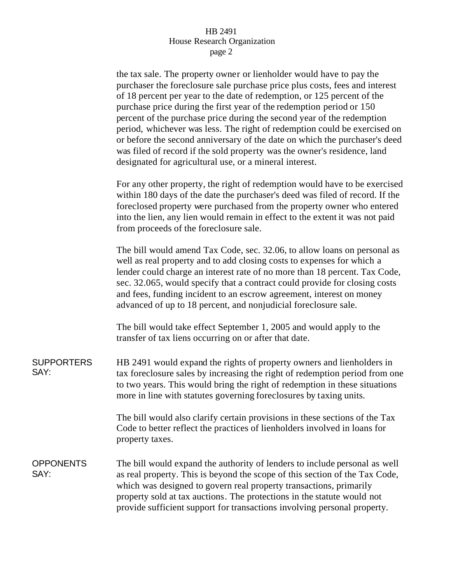## HB 2491 House Research Organization page 2

the tax sale. The property owner or lienholder would have to pay the purchaser the foreclosure sale purchase price plus costs, fees and interest of 18 percent per year to the date of redemption, or 125 percent of the purchase price during the first year of the redemption period or 150 percent of the purchase price during the second year of the redemption period, whichever was less. The right of redemption could be exercised on or before the second anniversary of the date on which the purchaser's deed was filed of record if the sold property was the owner's residence, land designated for agricultural use, or a mineral interest.

For any other property, the right of redemption would have to be exercised within 180 days of the date the purchaser's deed was filed of record. If the foreclosed property were purchased from the property owner who entered into the lien, any lien would remain in effect to the extent it was not paid from proceeds of the foreclosure sale.

The bill would amend Tax Code, sec. 32.06, to allow loans on personal as well as real property and to add closing costs to expenses for which a lender could charge an interest rate of no more than 18 percent. Tax Code, sec. 32.065, would specify that a contract could provide for closing costs and fees, funding incident to an escrow agreement, interest on money advanced of up to 18 percent, and nonjudicial foreclosure sale.

The bill would take effect September 1, 2005 and would apply to the transfer of tax liens occurring on or after that date.

**SUPPORTERS** SAY: HB 2491 would expand the rights of property owners and lienholders in tax foreclosure sales by increasing the right of redemption period from one to two years. This would bring the right of redemption in these situations more in line with statutes governing foreclosures by taxing units.

> The bill would also clarify certain provisions in these sections of the Tax Code to better reflect the practices of lienholders involved in loans for property taxes.

**OPPONENTS** SAY: The bill would expand the authority of lenders to include personal as well as real property. This is beyond the scope of this section of the Tax Code, which was designed to govern real property transactions, primarily property sold at tax auctions. The protections in the statute would not provide sufficient support for transactions involving personal property.